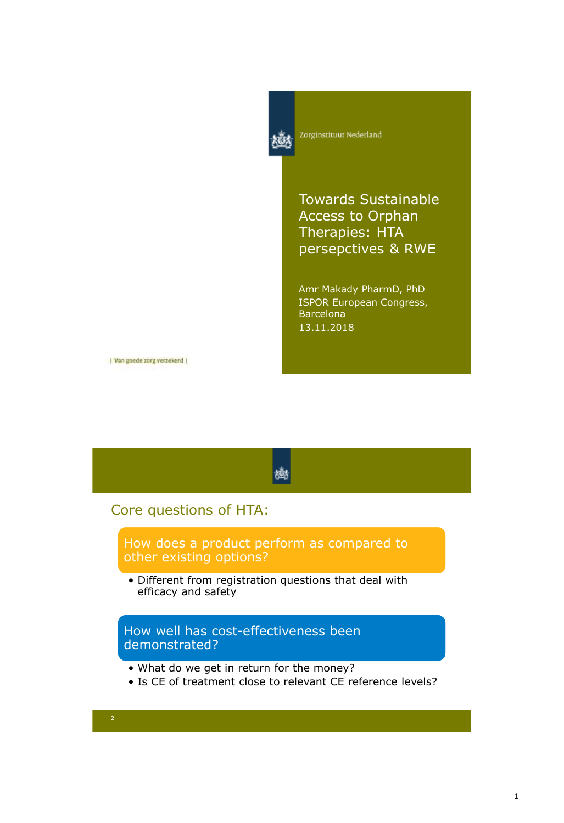

Zorginstituut Nederland

Towards Sustainable Access to Orphan Therapies: HTA persepctives & RWE

Amr Makady PharmD, PhD ISPOR European Congress, Barcelona 13.11.2018

| Van goede zorg verzekerd |

#### 橳

#### Core questions of HTA:

How does a product perform as compared to other existing options?

• Different from registration questions that deal with efficacy and safety

How well has cost-effectiveness been demonstrated?

- What do we get in return for the money?
- Is CE of treatment close to relevant CE reference levels?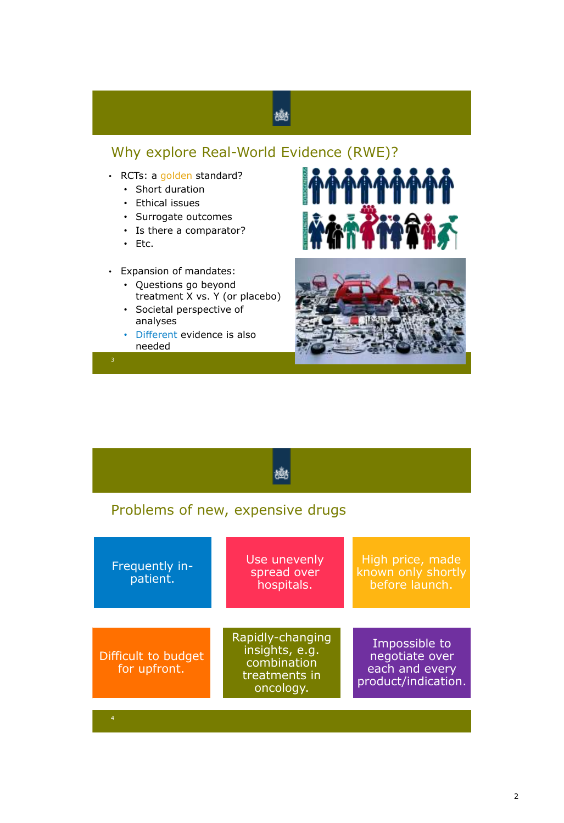# 戀

## Why explore Real-World Evidence (RWE)?

- RCTs: a golden standard?
	- Short duration
	- Ethical issues
	- Surrogate outcomes
	- Is there a comparator?
	- Etc.
- Expansion of mandates:
	- Questions go beyond treatment X vs. Y (or placebo)
	- Societal perspective of analyses
	- Different evidence is also needed





| Problems of new, expensive drugs    |                                                                                 |                                                                          |  |  |  |  |  |
|-------------------------------------|---------------------------------------------------------------------------------|--------------------------------------------------------------------------|--|--|--|--|--|
| Frequently in-<br>patient.          | Use unevenly<br>spread over<br>hospitals.                                       | High price, made<br>known only shortly<br>before launch.                 |  |  |  |  |  |
| Difficult to budget<br>for upfront. | Rapidly-changing<br>insights, e.g.<br>combination<br>treatments in<br>oncology. | Impossible to<br>negotiate over<br>each and every<br>product/indication. |  |  |  |  |  |
| 4                                   |                                                                                 |                                                                          |  |  |  |  |  |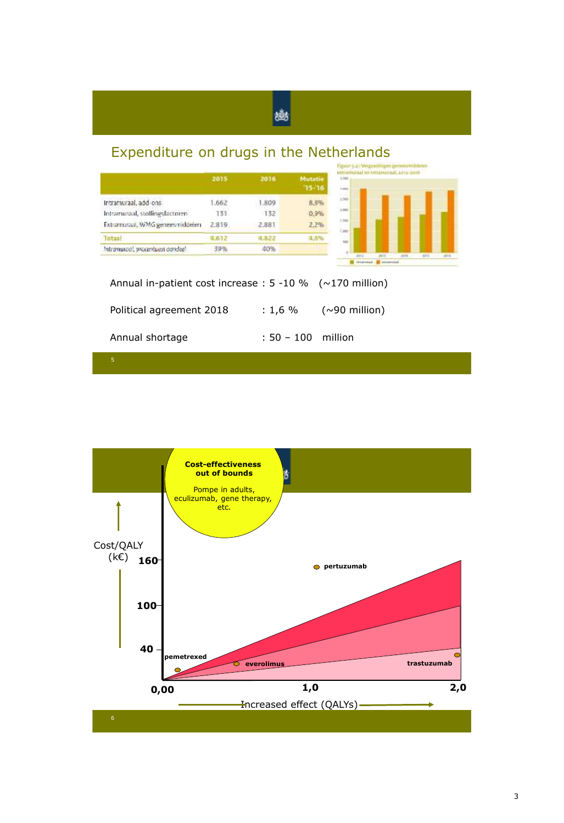## Expenditure on drugs in the Netherlands



幽

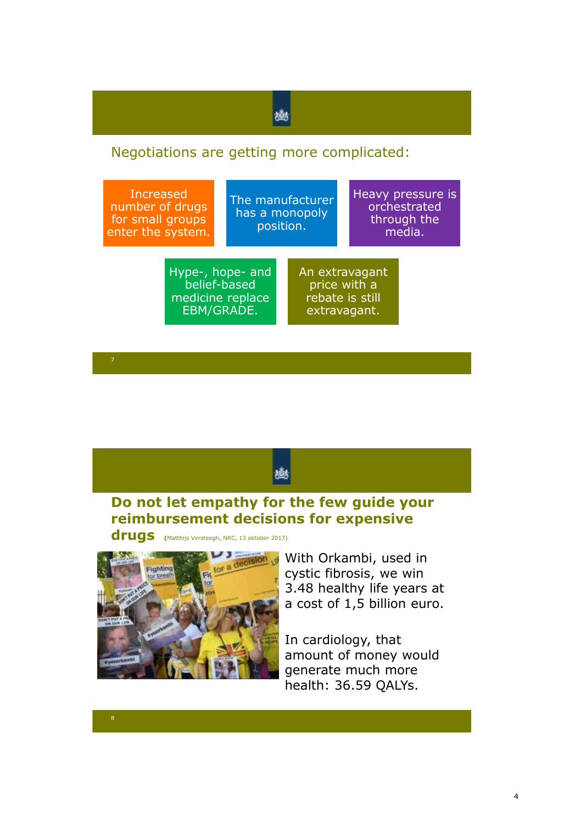## 豳

### Negotiations are getting more complicated:







With Orkambi, used in cystic fibrosis, we win 3.48 healthy life years at a cost of 1,5 billion euro.

In cardiology, that amount of money would generate much more health: 36.59 QALYs.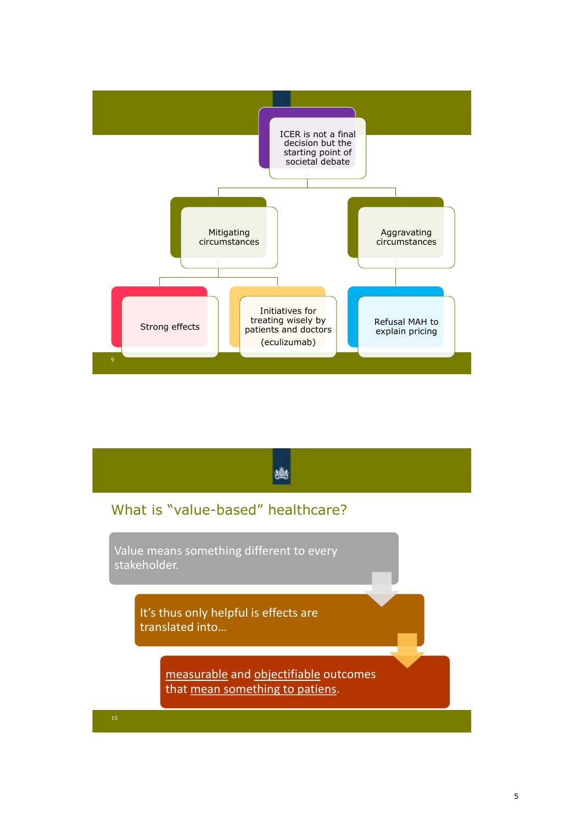

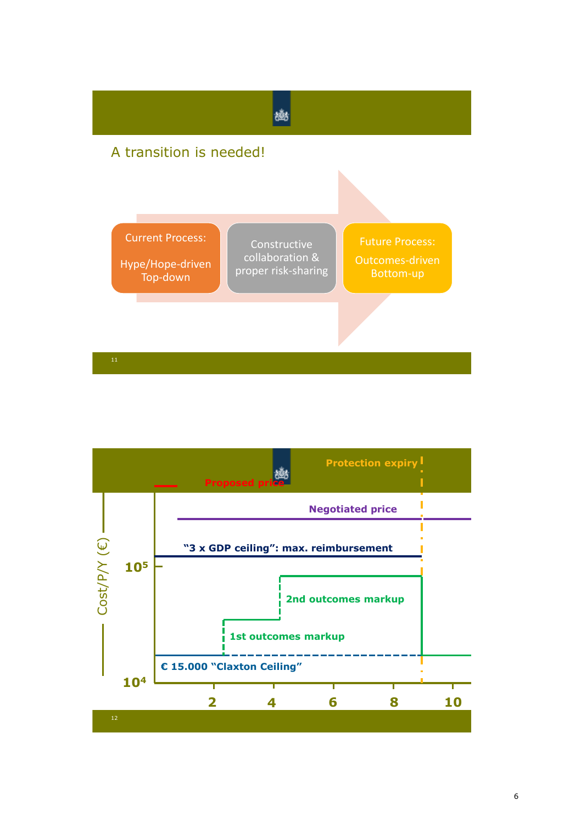

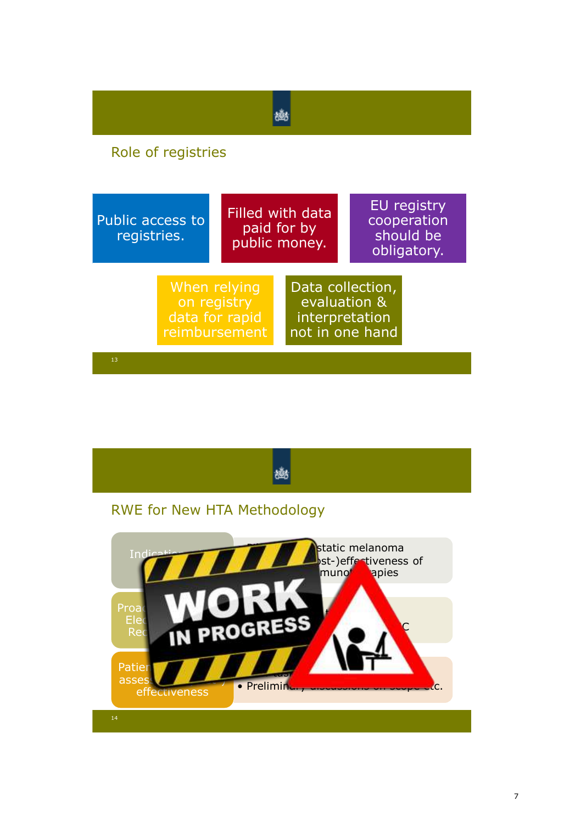| Role of registries                                             |  |                                                  |                                                                       |                                                        |  |  |
|----------------------------------------------------------------|--|--------------------------------------------------|-----------------------------------------------------------------------|--------------------------------------------------------|--|--|
| Public access to<br>registries.                                |  | Filled with data<br>paid for by<br>public money. |                                                                       | EU registry<br>cooperation<br>should be<br>obligatory. |  |  |
| When relying<br>on registry<br>data for rapid<br>reimbursement |  |                                                  | Data collection,<br>evaluation &<br>interpretation<br>not in one hand |                                                        |  |  |
| 13                                                             |  |                                                  |                                                                       |                                                        |  |  |